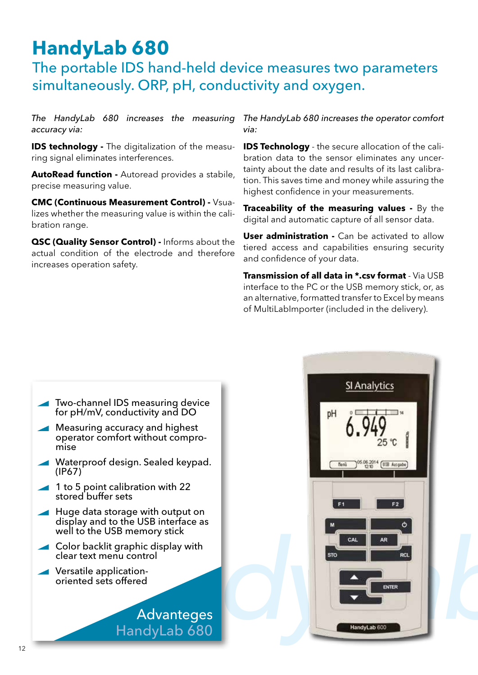## **HandyLab 680**

## The portable IDS hand-held device measures two parameters simultaneously. ORP, pH, conductivity and oxygen.

*The HandyLab 680 increases the measuring accuracy via:*

**IDS technology -** The digitalization of the measuring signal eliminates interferences.

**AutoRead function -** Autoread provides a stabile, precise measuring value.

**CMC (Continuous Measurement Control) -** Vsualizes whether the measuring value is within the calibration range.

**QSC (Quality Sensor Control) -** Informs about the actual condition of the electrode and therefore increases operation safety.

*The HandyLab 680 increases the operator comfort via:* 

**IDS Technology** - the secure allocation of the calibration data to the sensor eliminates any uncertainty about the date and results of its last calibration. This saves time and money while assuring the highest confidence in your measurements.

**Traceability of the measuring values -** By the digital and automatic capture of all sensor data.

**User administration -** Can be activated to allow tiered access and capabilities ensuring security and confidence of your data.

**Transmission of all data in \*.csv format** - Via USB interface to the PC or the USB memory stick, or, as an alternative, formatted transfer to Excel by means of MultiLabImporter (included in the delivery).